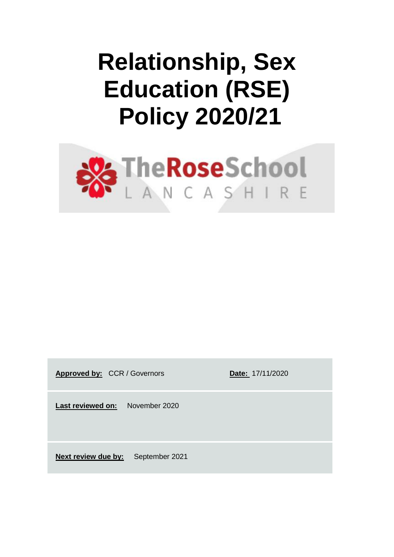# **Relationship, Sex Education (RSE) Policy 2020/21**



Approved by: CCR / Governors **Date: 17/11/2020** 

**Last reviewed on:** November 2020

**Next review due by:** September 2021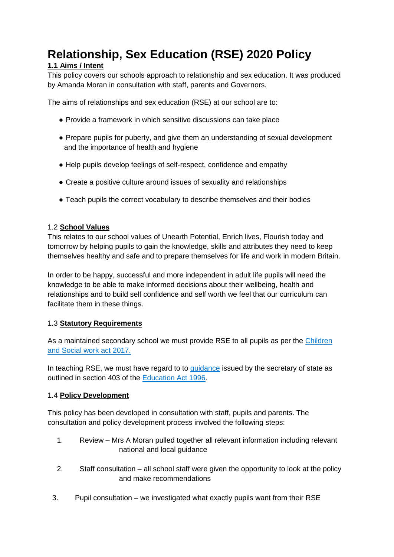# **Relationship, Sex Education (RSE) 2020 Policy**

### **1.1 Aims / Intent**

This policy covers our schools approach to relationship and sex education. It was produced by Amanda Moran in consultation with staff, parents and Governors.

The aims of relationships and sex education (RSE) at our school are to:

- Provide a framework in which sensitive discussions can take place
- Prepare pupils for puberty, and give them an understanding of sexual development and the importance of health and hygiene
- Help pupils develop feelings of self-respect, confidence and empathy
- Create a positive culture around issues of sexuality and relationships
- Teach pupils the correct vocabulary to describe themselves and their bodies

#### 1.2 **School Values**

This relates to our school values of Unearth Potential, Enrich lives, Flourish today and tomorrow by helping pupils to gain the knowledge, skills and attributes they need to keep themselves healthy and safe and to prepare themselves for life and work in modern Britain.

In order to be happy, successful and more independent in adult life pupils will need the knowledge to be able to make informed decisions about their wellbeing, health and relationships and to build self confidence and self worth we feel that our curriculum can facilitate them in these things.

#### 1.3 **Statutory Requirements**

As a maintain[e](http://www.legislation.gov.uk/ukpga/2017/16/section/34/enacted)d secondary school we must provide RSE to all pupils as per the Children [and Social work act 2017.](http://www.legislation.gov.uk/ukpga/2017/16/section/34/enacted)

In teaching RSE, we must have regard to to [guidance](https://www.gov.uk/government/consultations/relationships-and-sex-education-and-health-education) issued by the secretary of state as outlined in section 403 of th[e](http://www.legislation.gov.uk/ukpga/1996/56/contents) [Education Act 1996.](http://www.legislation.gov.uk/ukpga/1996/56/contents)

#### 1.4 **Policy Development**

This policy has been developed in consultation with staff, pupils and parents. The consultation and policy development process involved the following steps:

- 1. Review Mrs A Moran pulled together all relevant information including relevant national and local guidance
- 2. Staff consultation all school staff were given the opportunity to look at the policy and make recommendations
- 3. Pupil consultation we investigated what exactly pupils want from their RSE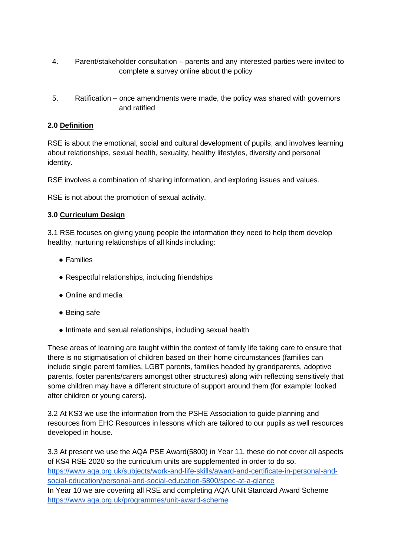- 4. Parent/stakeholder consultation parents and any interested parties were invited to complete a survey online about the policy
- 5. Ratification once amendments were made, the policy was shared with governors and ratified

#### **2.0 Definition**

RSE is about the emotional, social and cultural development of pupils, and involves learning about relationships, sexual health, sexuality, healthy lifestyles, diversity and personal identity.

RSE involves a combination of sharing information, and exploring issues and values.

RSE is not about the promotion of sexual activity.

#### **3.0 Curriculum Design**

3.1 RSE focuses on giving young people the information they need to help them develop healthy, nurturing relationships of all kinds including:

- Families
- Respectful relationships, including friendships
- Online and media
- Being safe
- Intimate and sexual relationships, including sexual health

These areas of learning are taught within the context of family life taking care to ensure that there is no stigmatisation of children based on their home circumstances (families can include single parent families, LGBT parents, families headed by grandparents, adoptive parents, foster parents/carers amongst other structures) along with reflecting sensitively that some children may have a different structure of support around them (for example: looked after children or young carers).

3.2 At KS3 we use the information from the PSHE Association to guide planning and resources from EHC Resources in lessons which are tailored to our pupils as well resources developed in house.

3.3 At present we use the AQA PSE Award(5800) in Year 11, these do not cover all aspects of KS4 RSE 2020 so the curriculum units are supplemented in order to do so. [https://www.aqa.org.uk/subjects/work-and-life-skills/award-and-certificate-in-personal-and](https://www.aqa.org.uk/subjects/work-and-life-skills/award-and-certificate-in-personal-and-social-education/personal-and-social-education-5800/spec-at-a-glance)[social-education/personal-and-social-education-5800/spec-at-a-glance](https://www.aqa.org.uk/subjects/work-and-life-skills/award-and-certificate-in-personal-and-social-education/personal-and-social-education-5800/spec-at-a-glance) In Year 10 we are covering all RSE and completing AQA UNit Standard Award Scheme <https://www.aqa.org.uk/programmes/unit-award-scheme>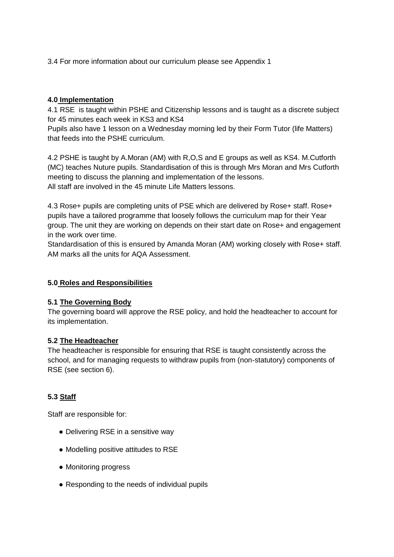3.4 For more information about our curriculum please see Appendix 1

#### **4.0 Implementation**

4.1 RSE is taught within PSHE and Citizenship lessons and is taught as a discrete subject for 45 minutes each week in KS3 and KS4

Pupils also have 1 lesson on a Wednesday morning led by their Form Tutor (life Matters) that feeds into the PSHE curriculum.

4.2 PSHE is taught by A.Moran (AM) with R,O,S and E groups as well as KS4. M.Cutforth (MC) teaches Nuture pupils. Standardisation of this is through Mrs Moran and Mrs Cutforth meeting to discuss the planning and implementation of the lessons. All staff are involved in the 45 minute Life Matters lessons.

4.3 Rose+ pupils are completing units of PSE which are delivered by Rose+ staff. Rose+ pupils have a tailored programme that loosely follows the curriculum map for their Year group. The unit they are working on depends on their start date on Rose+ and engagement in the work over time.

Standardisation of this is ensured by Amanda Moran (AM) working closely with Rose+ staff. AM marks all the units for AQA Assessment.

#### **5.0 Roles and Responsibilities**

#### **5.1 The Governing Body**

The governing board will approve the RSE policy, and hold the headteacher to account for its implementation.

#### **5.2 The Headteacher**

The headteacher is responsible for ensuring that RSE is taught consistently across the school, and for managing requests to withdraw pupils from (non-statutory) components of RSE (see section 6).

#### **5.3 Staff**

Staff are responsible for:

- Delivering RSE in a sensitive way
- Modelling positive attitudes to RSE
- Monitoring progress
- Responding to the needs of individual pupils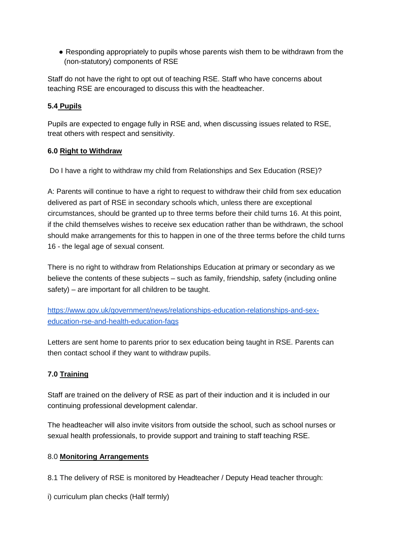• Responding appropriately to pupils whose parents wish them to be withdrawn from the (non-statutory) components of RSE

Staff do not have the right to opt out of teaching RSE. Staff who have concerns about teaching RSE are encouraged to discuss this with the headteacher.

#### **5.4 Pupils**

Pupils are expected to engage fully in RSE and, when discussing issues related to RSE, treat others with respect and sensitivity.

#### **6.0 Right to Withdraw**

Do I have a right to withdraw my child from Relationships and Sex Education (RSE)?

A: Parents will continue to have a right to request to withdraw their child from sex education delivered as part of RSE in secondary schools which, unless there are exceptional circumstances, should be granted up to three terms before their child turns 16. At this point, if the child themselves wishes to receive sex education rather than be withdrawn, the school should make arrangements for this to happen in one of the three terms before the child turns 16 - the legal age of sexual consent.

There is no right to withdraw from Relationships Education at primary or secondary as we believe the contents of these subjects – such as family, friendship, safety (including online safety) – are important for all children to be taught.

[https://www.gov.uk/government/news/relationships-education-relationships-and-sex](https://www.gov.uk/government/news/relationships-education-relationships-and-sex-education-rse-and-health-education-faqs)[education-rse-and-health-education-faqs](https://www.gov.uk/government/news/relationships-education-relationships-and-sex-education-rse-and-health-education-faqs)

Letters are sent home to parents prior to sex education being taught in RSE. Parents can then contact school if they want to withdraw pupils.

#### **7.0 Training**

Staff are trained on the delivery of RSE as part of their induction and it is included in our continuing professional development calendar.

The headteacher will also invite visitors from outside the school, such as school nurses or sexual health professionals, to provide support and training to staff teaching RSE.

#### 8.0 **Monitoring Arrangements**

8.1 The delivery of RSE is monitored by Headteacher / Deputy Head teacher through:

i) curriculum plan checks (Half termly)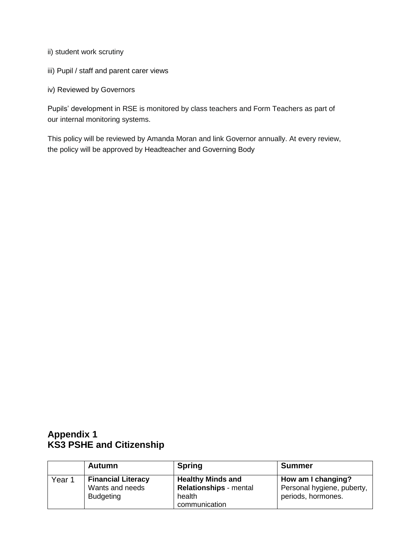- ii) student work scrutiny
- iii) Pupil / staff and parent carer views
- iv) Reviewed by Governors

Pupils' development in RSE is monitored by class teachers and Form Teachers as part of our internal monitoring systems.

This policy will be reviewed by Amanda Moran and link Governor annually. At every review, the policy will be approved by Headteacher and Governing Body

## **Appendix 1 KS3 PSHE and Citizenship**

|                   | Autumn                                                           | <b>Spring</b>                                                                        | <b>Summer</b>                                                          |
|-------------------|------------------------------------------------------------------|--------------------------------------------------------------------------------------|------------------------------------------------------------------------|
| Year <sub>1</sub> | <b>Financial Literacy</b><br>Wants and needs<br><b>Budgeting</b> | <b>Healthy Minds and</b><br><b>Relationships</b> - mental<br>health<br>communication | How am I changing?<br>Personal hygiene, puberty,<br>periods, hormones. |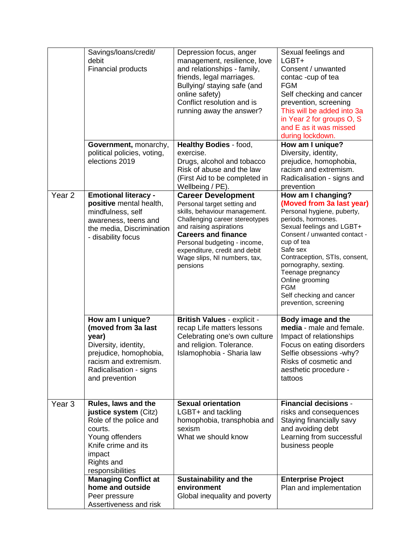|                   | Savings/loans/credit/<br>debit<br><b>Financial products</b>                                                                                                             | Depression focus, anger<br>management, resilience, love<br>and relationships - family,<br>friends, legal marriages.<br>Bullying/ staying safe (and<br>online safety)<br>Conflict resolution and is<br>running away the answer?                                                                    | Sexual feelings and<br>$LGBT+$<br>Consent / unwanted<br>contac-cup of tea<br><b>FGM</b><br>Self checking and cancer<br>prevention, screening<br>This will be added into 3a<br>in Year 2 for groups O, S<br>and E as it was missed<br>during lockdown.                                                                                                           |
|-------------------|-------------------------------------------------------------------------------------------------------------------------------------------------------------------------|---------------------------------------------------------------------------------------------------------------------------------------------------------------------------------------------------------------------------------------------------------------------------------------------------|-----------------------------------------------------------------------------------------------------------------------------------------------------------------------------------------------------------------------------------------------------------------------------------------------------------------------------------------------------------------|
|                   | Government, monarchy,<br>political policies, voting,<br>elections 2019                                                                                                  | <b>Healthy Bodies - food,</b><br>exercise.<br>Drugs, alcohol and tobacco<br>Risk of abuse and the law<br>(First Aid to be completed in<br>Wellbeing / PE).                                                                                                                                        | How am I unique?<br>Diversity, identity,<br>prejudice, homophobia,<br>racism and extremism.<br>Radicalisation - signs and<br>prevention                                                                                                                                                                                                                         |
| Year <sub>2</sub> | <b>Emotional literacy -</b><br>positive mental health,<br>mindfulness, self<br>awareness, teens and<br>the media, Discrimination<br>- disability focus                  | <b>Career Development</b><br>Personal target setting and<br>skills, behaviour management.<br>Challenging career stereotypes<br>and raising aspirations<br><b>Careers and finance</b><br>Personal budgeting - income,<br>expenditure, credit and debit<br>Wage slips, NI numbers, tax,<br>pensions | How am I changing?<br>(Moved from 3a last year)<br>Personal hygiene, puberty,<br>periods, hormones.<br>Sexual feelings and LGBT+<br>Consent / unwanted contact -<br>cup of tea<br>Safe sex<br>Contraception, STIs, consent,<br>pornography, sexting.<br>Teenage pregnancy<br>Online grooming<br><b>FGM</b><br>Self checking and cancer<br>prevention, screening |
|                   | How am I unique?<br>(moved from 3a last<br>year)<br>Diversity, identity,<br>prejudice, homophobia,<br>racism and extremism.<br>Radicalisation - signs<br>and prevention | <b>British Values - explicit -</b><br>recap Life matters lessons<br>Celebrating one's own culture<br>and religion. Tolerance.<br>Islamophobia - Sharia law                                                                                                                                        | Body image and the<br>media - male and female.<br>Impact of relationships<br>Focus on eating disorders<br>Selfie obsessions -why?<br>Risks of cosmetic and<br>aesthetic procedure -<br>tattoos                                                                                                                                                                  |
| Year <sub>3</sub> | Rules, laws and the<br>justice system (Citz)<br>Role of the police and<br>courts.<br>Young offenders<br>Knife crime and its<br>impact<br>Rights and<br>responsibilities | <b>Sexual orientation</b><br>LGBT+ and tackling<br>homophobia, transphobia and<br>sexism<br>What we should know                                                                                                                                                                                   | <b>Financial decisions -</b><br>risks and consequences<br>Staying financially savy<br>and avoiding debt<br>Learning from successful<br>business people                                                                                                                                                                                                          |
|                   | <b>Managing Conflict at</b><br>home and outside<br>Peer pressure<br>Assertiveness and risk                                                                              | <b>Sustainability and the</b><br>environment<br>Global inequality and poverty                                                                                                                                                                                                                     | <b>Enterprise Project</b><br>Plan and implementation                                                                                                                                                                                                                                                                                                            |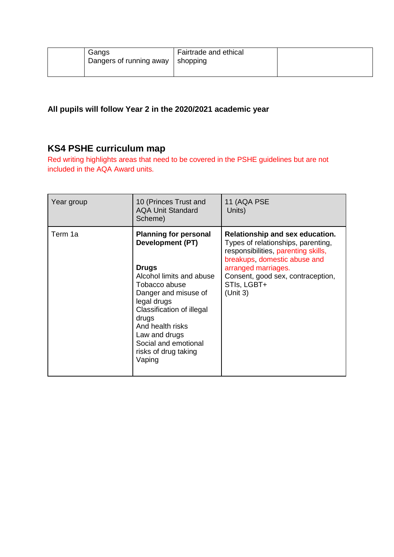| Gangs<br>Dangers of running away   shopping | Fairtrade and ethical |  |
|---------------------------------------------|-----------------------|--|
|                                             |                       |  |

**All pupils will follow Year 2 in the 2020/2021 academic year**

# **KS4 PSHE curriculum map**

Red writing highlights areas that need to be covered in the PSHE guidelines but are not included in the AQA Award units.

| Year group | 10 (Princes Trust and<br><b>AQA Unit Standard</b><br>Scheme)                                                                                                                                                                                                                                            | 11 (AQA PSE<br>Units)                                                                                                                                                                                                               |
|------------|---------------------------------------------------------------------------------------------------------------------------------------------------------------------------------------------------------------------------------------------------------------------------------------------------------|-------------------------------------------------------------------------------------------------------------------------------------------------------------------------------------------------------------------------------------|
| Term 1a    | <b>Planning for personal</b><br><b>Development (PT)</b><br><b>Drugs</b><br>Alcohol limits and abuse<br>Tobacco abuse<br>Danger and misuse of<br>legal drugs<br><b>Classification of illegal</b><br>drugs<br>And health risks<br>Law and drugs<br>Social and emotional<br>risks of drug taking<br>Vaping | Relationship and sex education.<br>Types of relationships, parenting,<br>responsibilities, parenting skills,<br>breakups, domestic abuse and<br>arranged marriages.<br>Consent, good sex, contraception,<br>STIs, LGBT+<br>(Unit 3) |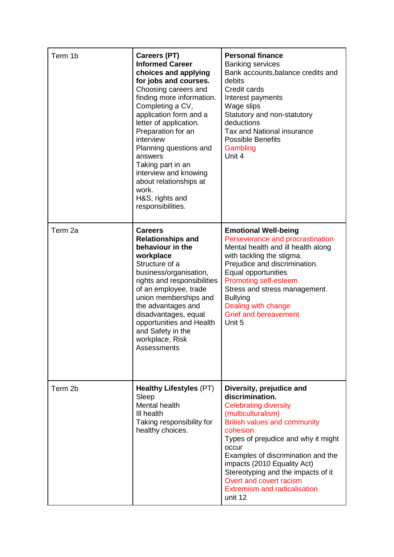| Term 1b            | <b>Careers (PT)</b><br><b>Informed Career</b><br>choices and applying<br>for jobs and courses.<br>Choosing careers and<br>finding more information.<br>Completing a CV,<br>application form and a<br>letter of application.<br>Preparation for an<br>interview<br>Planning questions and<br>answers<br>Taking part in an<br>interview and knowing<br>about relationships at<br>work.<br>H&S, rights and<br>responsibilities. | <b>Personal finance</b><br><b>Banking services</b><br>Bank accounts, balance credits and<br>debits<br>Credit cards<br>Interest payments<br>Wage slips<br>Statutory and non-statutory<br>deductions<br>Tax and National insurance<br><b>Possible Benefits</b><br>Gambling<br>Unit 4                                                                                                           |
|--------------------|------------------------------------------------------------------------------------------------------------------------------------------------------------------------------------------------------------------------------------------------------------------------------------------------------------------------------------------------------------------------------------------------------------------------------|----------------------------------------------------------------------------------------------------------------------------------------------------------------------------------------------------------------------------------------------------------------------------------------------------------------------------------------------------------------------------------------------|
| Term <sub>2a</sub> | <b>Careers</b><br><b>Relationships and</b><br>behaviour in the<br>workplace<br>Structure of a<br>business/organisation,<br>rights and responsibilities<br>of an employee, trade<br>union memberships and<br>the advantages and<br>disadvantages, equal<br>opportunities and Health<br>and Safety in the<br>workplace, Risk<br>Assessments                                                                                    | <b>Emotional Well-being</b><br>Perseverance and procrastination<br>Mental health and ill health along<br>with tackling the stigma.<br>Prejudice and discrimination.<br>Equal opportunities<br><b>Promoting self-esteem</b><br>Stress and stress management.<br><b>Bullying</b><br>Dealing with change<br><b>Grief and bereavement</b><br>Unit 5                                              |
| Term 2b            | <b>Healthy Lifestyles (PT)</b><br>Sleep<br>Mental health<br>III health<br>Taking responsibility for<br>healthy choices.                                                                                                                                                                                                                                                                                                      | Diversity, prejudice and<br>discrimination.<br><b>Celebrating diversity</b><br>(multiculturalism)<br><b>British values and community</b><br>cohesion<br>Types of prejudice and why it might<br>occur<br>Examples of discrimination and the<br>impacts (2010 Equality Act)<br>Stereotyping and the impacts of it<br>Overt and covert racism<br><b>Extremism and radicalisation</b><br>unit 12 |